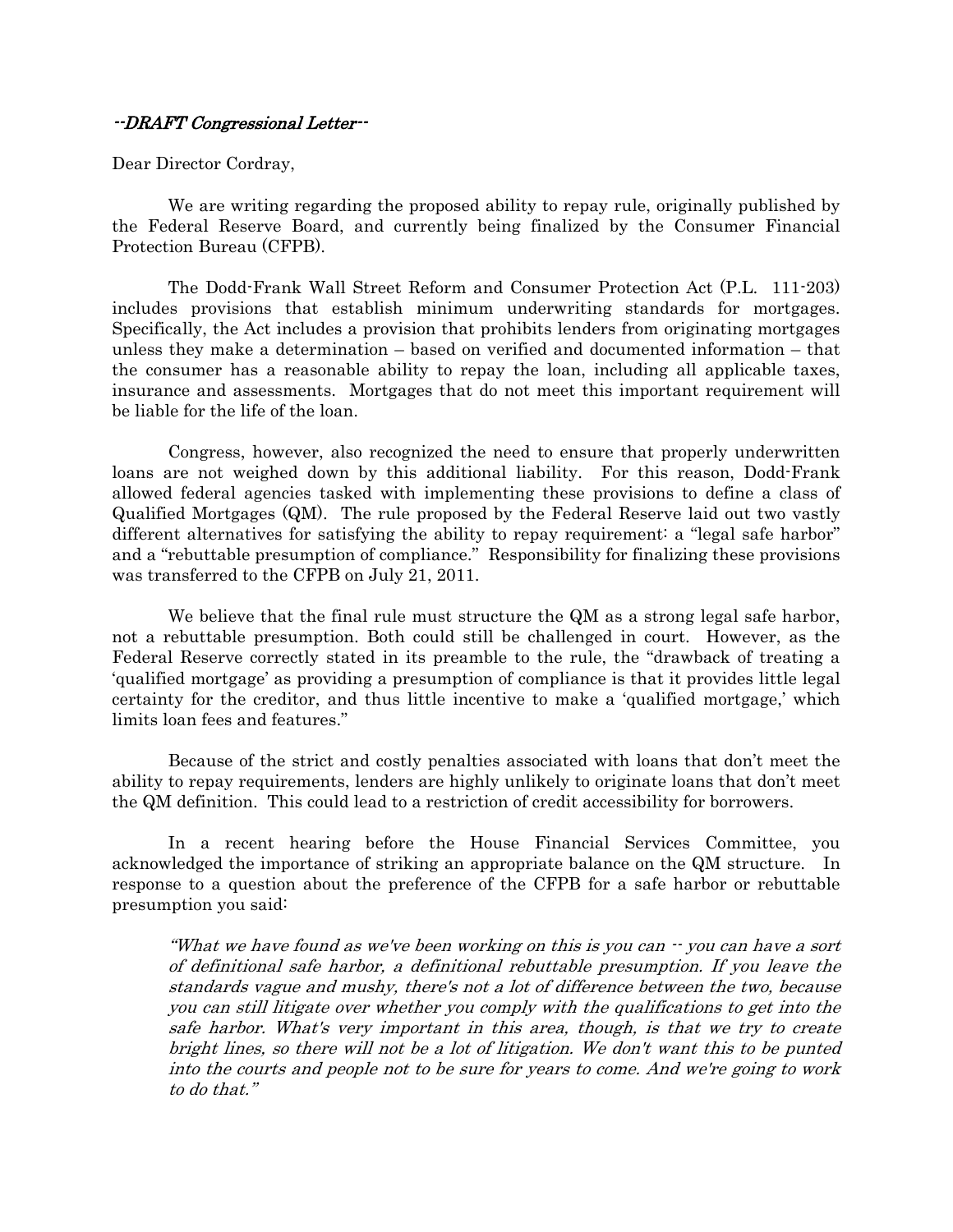## --DRAFT Congressional Letter--

Dear Director Cordray,

 We are writing regarding the proposed ability to repay rule, originally published by the Federal Reserve Board, and currently being finalized by the Consumer Financial Protection Bureau (CFPB).

 The Dodd-Frank Wall Street Reform and Consumer Protection Act (P.L. 111-203) includes provisions that establish minimum underwriting standards for mortgages. Specifically, the Act includes a provision that prohibits lenders from originating mortgages unless they make a determination – based on verified and documented information – that the consumer has a reasonable ability to repay the loan, including all applicable taxes, insurance and assessments. Mortgages that do not meet this important requirement will be liable for the life of the loan.

 Congress, however, also recognized the need to ensure that properly underwritten loans are not weighed down by this additional liability. For this reason, Dodd-Frank allowed federal agencies tasked with implementing these provisions to define a class of Qualified Mortgages (QM). The rule proposed by the Federal Reserve laid out two vastly different alternatives for satisfying the ability to repay requirement: a "legal safe harbor" and a "rebuttable presumption of compliance." Responsibility for finalizing these provisions was transferred to the CFPB on July 21, 2011.

We believe that the final rule must structure the QM as a strong legal safe harbor, not a rebuttable presumption. Both could still be challenged in court. However, as the Federal Reserve correctly stated in its preamble to the rule, the "drawback of treating a 'qualified mortgage' as providing a presumption of compliance is that it provides little legal certainty for the creditor, and thus little incentive to make a 'qualified mortgage,' which limits loan fees and features."

 Because of the strict and costly penalties associated with loans that don't meet the ability to repay requirements, lenders are highly unlikely to originate loans that don't meet the QM definition. This could lead to a restriction of credit accessibility for borrowers.

 In a recent hearing before the House Financial Services Committee, you acknowledged the importance of striking an appropriate balance on the QM structure. In response to a question about the preference of the CFPB for a safe harbor or rebuttable presumption you said:

"What we have found as we've been working on this is you can  $\cdot$  you can have a sort of definitional safe harbor, a definitional rebuttable presumption. If you leave the standards vague and mushy, there's not a lot of difference between the two, because you can still litigate over whether you comply with the qualifications to get into the safe harbor. What's very important in this area, though, is that we try to create bright lines, so there will not be a lot of litigation. We don't want this to be punted into the courts and people not to be sure for years to come. And we're going to work to do that."